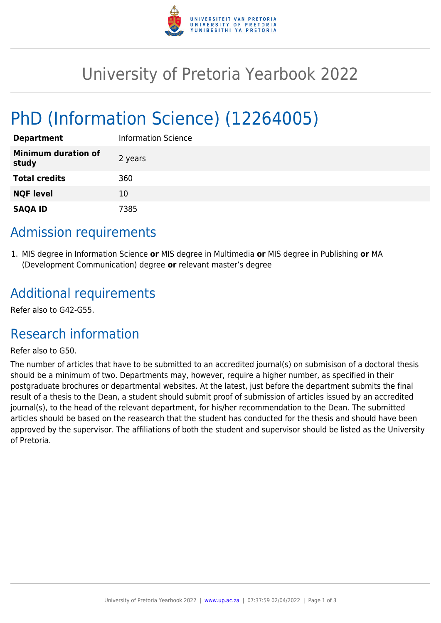

# University of Pretoria Yearbook 2022

# PhD (Information Science) (12264005)

| <b>Department</b>                   | Information Science |
|-------------------------------------|---------------------|
| <b>Minimum duration of</b><br>study | 2 years             |
| <b>Total credits</b>                | 360                 |
| <b>NQF level</b>                    | 10                  |
| <b>SAQA ID</b>                      | 7385                |

### Admission requirements

1. MIS degree in Information Science **or** MIS degree in Multimedia **or** MIS degree in Publishing **or** MA (Development Communication) degree **or** relevant master's degree

## Additional requirements

Refer also to G42-G55.

## Research information

#### Refer also to G50.

The number of articles that have to be submitted to an accredited journal(s) on submisison of a doctoral thesis should be a minimum of two. Departments may, however, require a higher number, as specified in their postgraduate brochures or departmental websites. At the latest, just before the department submits the final result of a thesis to the Dean, a student should submit proof of submission of articles issued by an accredited journal(s), to the head of the relevant department, for his/her recommendation to the Dean. The submitted articles should be based on the reasearch that the student has conducted for the thesis and should have been approved by the supervisor. The affiliations of both the student and supervisor should be listed as the University of Pretoria.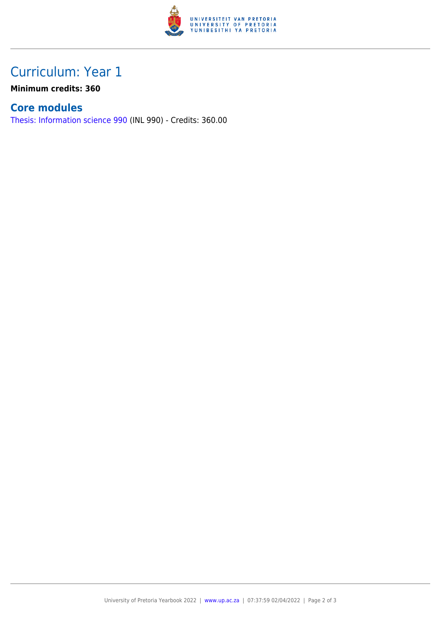

## Curriculum: Year 1

**Minimum credits: 360**

### **Core modules**

[Thesis: Information science 990](https://www.up.ac.za/faculty-of-education/yearbooks/2022/modules/view/INL 990) (INL 990) - Credits: 360.00